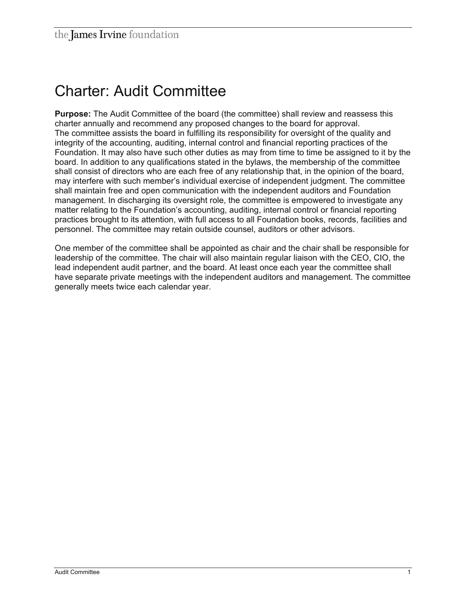## Charter: Audit Committee

**Purpose:** The Audit Committee of the board (the committee) shall review and reassess this charter annually and recommend any proposed changes to the board for approval. The committee assists the board in fulfilling its responsibility for oversight of the quality and integrity of the accounting, auditing, internal control and financial reporting practices of the Foundation. It may also have such other duties as may from time to time be assigned to it by the board. In addition to any qualifications stated in the bylaws, the membership of the committee shall consist of directors who are each free of any relationship that, in the opinion of the board, may interfere with such member's individual exercise of independent judgment. The committee shall maintain free and open communication with the independent auditors and Foundation management. In discharging its oversight role, the committee is empowered to investigate any matter relating to the Foundation's accounting, auditing, internal control or financial reporting practices brought to its attention, with full access to all Foundation books, records, facilities and personnel. The committee may retain outside counsel, auditors or other advisors.

One member of the committee shall be appointed as chair and the chair shall be responsible for leadership of the committee. The chair will also maintain regular liaison with the CEO, CIO, the lead independent audit partner, and the board. At least once each year the committee shall have separate private meetings with the independent auditors and management. The committee generally meets twice each calendar year.